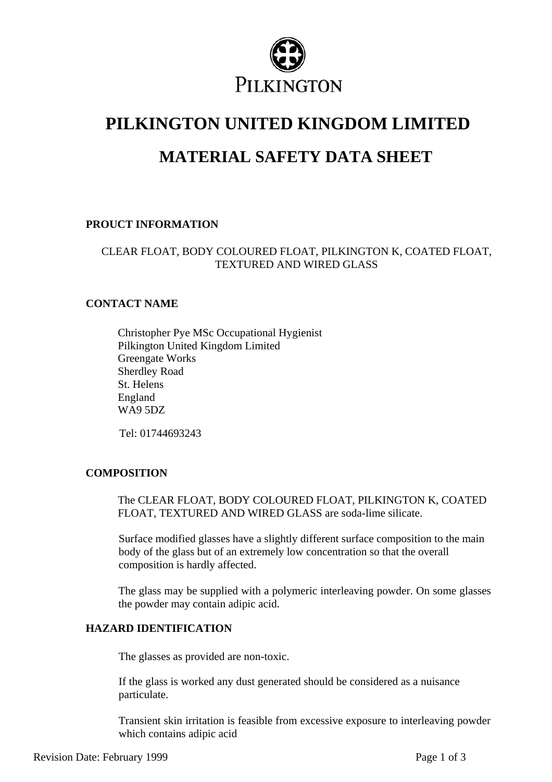

# **PILKINGTON UNITED KINGDOM LIMITED**

## **MATERIAL SAFETY DATA SHEET**

## **PROUCT INFORMATION**

## CLEAR FLOAT, BODY COLOURED FLOAT, PILKINGTON K, COATED FLOAT, TEXTURED AND WIRED GLASS

#### **CONTACT NAME**

Christopher Pye MSc Occupational Hygienist Pilkington United Kingdom Limited Greengate Works Sherdley Road St. Helens England WA9 5DZ

Tel: 01744693243

## **COMPOSITION**

The CLEAR FLOAT, BODY COLOURED FLOAT, PILKINGTON K, COATED FLOAT, TEXTURED AND WIRED GLASS are soda-lime silicate.

Surface modified glasses have a slightly different surface composition to the main body of the glass but of an extremely low concentration so that the overall composition is hardly affected.

The glass may be supplied with a polymeric interleaving powder. On some glasses the powder may contain adipic acid.

## **HAZARD IDENTIFICATION**

The glasses as provided are non-toxic.

If the glass is worked any dust generated should be considered as a nuisance particulate.

Transient skin irritation is feasible from excessive exposure to interleaving powder which contains adipic acid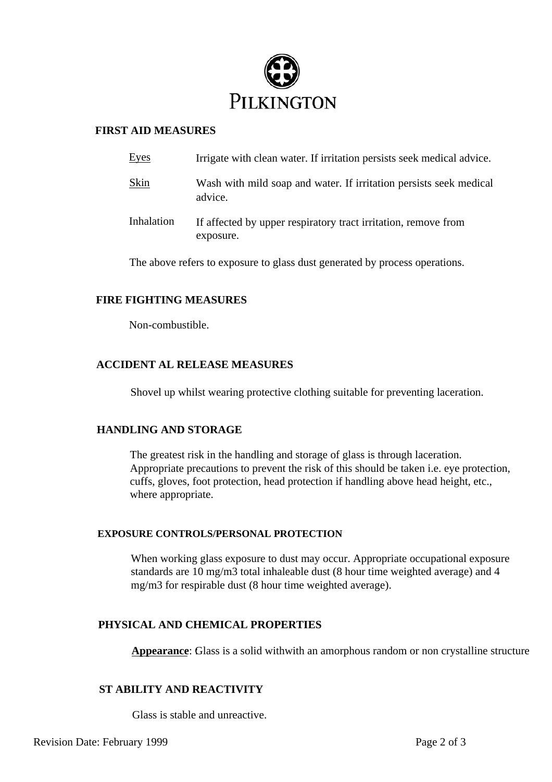

#### **FIRST AID MEASURES**

| Eyes       | Irrigate with clean water. If irritation persists seek medical advice.        |
|------------|-------------------------------------------------------------------------------|
| Skin       | Wash with mild soap and water. If irritation persists seek medical<br>advice. |
| Inhalation | If affected by upper respiratory tract irritation, remove from<br>exposure.   |

The above refers to exposure to glass dust generated by process operations.

#### **FIRE FIGHTING MEASURES**

Non-combustible.

#### **ACCIDENT AL RELEASE MEASURES**

Shovel up whilst wearing protective clothing suitable for preventing laceration.

#### **HANDLING AND STORAGE**

The greatest risk in the handling and storage of glass is through laceration. Appropriate precautions to prevent the risk of this should be taken i.e. eye protection, cuffs, gloves, foot protection, head protection if handling above head height, etc., where appropriate.

#### **EXPOSURE CONTROLS/PERSONAL PROTECTION**

When working glass exposure to dust may occur. Appropriate occupational exposure standards are 10 mg/m3 total inhaleable dust (8 hour time weighted average) and 4 mg/m3 for respirable dust (8 hour time weighted average).

#### **PHYSICAL AND CHEMICAL PROPERTIES**

**Appearance:** Glass is a solid withwith an amorphous random or non crystalline structure

#### **ST ABILITY AND REACTIVITY**

Glass is stable and unreactive.